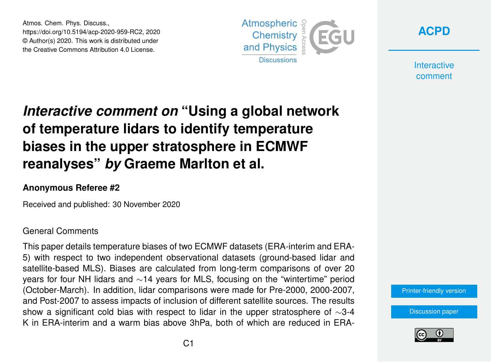Atmos. Chem. Phys. Discuss., https://doi.org/10.5194/acp-2020-959-RC2, 2020 © Author(s) 2020. This work is distributed under the Creative Commons Attribution 4.0 License.





**Interactive** comment

## *Interactive comment on* **"Using a global network of temperature lidars to identify temperature biases in the upper stratosphere in ECMWF reanalyses"** *by* **Graeme Marlton et al.**

## **Anonymous Referee #2**

Received and published: 30 November 2020

## General Comments

This paper details temperature biases of two ECMWF datasets (ERA-interim and ERA-5) with respect to two independent observational datasets (ground-based lidar and satellite-based MLS). Biases are calculated from long-term comparisons of over 20 years for four NH lidars and ∼14 years for MLS, focusing on the "wintertime" period (October-March). In addition, lidar comparisons were made for Pre-2000, 2000-2007, and Post-2007 to assess impacts of inclusion of different satellite sources. The results show a significant cold bias with respect to lidar in the upper stratosphere of ∼3-4 K in ERA-interim and a warm bias above 3hPa, both of which are reduced in ERA-

[Printer-friendly version](https://acp.copernicus.org/preprints/acp-2020-959/acp-2020-959-RC2-print.pdf)

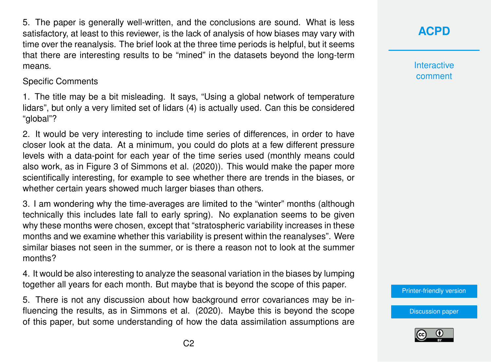5. The paper is generally well-written, and the conclusions are sound. What is less satisfactory, at least to this reviewer, is the lack of analysis of how biases may vary with time over the reanalysis. The brief look at the three time periods is helpful, but it seems that there are interesting results to be "mined" in the datasets beyond the long-term means.

Specific Comments

1. The title may be a bit misleading. It says, "Using a global network of temperature lidars", but only a very limited set of lidars (4) is actually used. Can this be considered "global"?

2. It would be very interesting to include time series of differences, in order to have closer look at the data. At a minimum, you could do plots at a few different pressure levels with a data-point for each year of the time series used (monthly means could also work, as in Figure 3 of Simmons et al. (2020)). This would make the paper more scientifically interesting, for example to see whether there are trends in the biases, or whether certain years showed much larger biases than others.

3. I am wondering why the time-averages are limited to the "winter" months (although technically this includes late fall to early spring). No explanation seems to be given why these months were chosen, except that "stratospheric variability increases in these months and we examine whether this variability is present within the reanalyses". Were similar biases not seen in the summer, or is there a reason not to look at the summer months?

4. It would be also interesting to analyze the seasonal variation in the biases by lumping together all years for each month. But maybe that is beyond the scope of this paper.

5. There is not any discussion about how background error covariances may be influencing the results, as in Simmons et al. (2020). Maybe this is beyond the scope of this paper, but some understanding of how the data assimilation assumptions are **[ACPD](https://acp.copernicus.org/preprints/)**

**Interactive** comment

[Printer-friendly version](https://acp.copernicus.org/preprints/acp-2020-959/acp-2020-959-RC2-print.pdf)

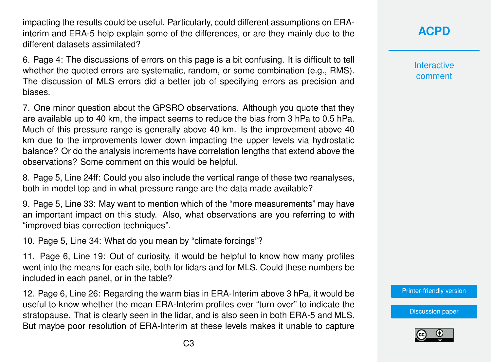impacting the results could be useful. Particularly, could different assumptions on ERAinterim and ERA-5 help explain some of the differences, or are they mainly due to the different datasets assimilated?

6. Page 4: The discussions of errors on this page is a bit confusing. It is difficult to tell whether the quoted errors are systematic, random, or some combination (e.g., RMS). The discussion of MLS errors did a better job of specifying errors as precision and biases.

7. One minor question about the GPSRO observations. Although you quote that they are available up to 40 km, the impact seems to reduce the bias from 3 hPa to 0.5 hPa. Much of this pressure range is generally above 40 km. Is the improvement above 40 km due to the improvements lower down impacting the upper levels via hydrostatic balance? Or do the analysis increments have correlation lengths that extend above the observations? Some comment on this would be helpful.

8. Page 5, Line 24ff: Could you also include the vertical range of these two reanalyses, both in model top and in what pressure range are the data made available?

9. Page 5, Line 33: May want to mention which of the "more measurements" may have an important impact on this study. Also, what observations are you referring to with "improved bias correction techniques".

10. Page 5, Line 34: What do you mean by "climate forcings"?

11. Page 6, Line 19: Out of curiosity, it would be helpful to know how many profiles went into the means for each site, both for lidars and for MLS. Could these numbers be included in each panel, or in the table?

12. Page 6, Line 26: Regarding the warm bias in ERA-Interim above 3 hPa, it would be useful to know whether the mean ERA-Interim profiles ever "turn over" to indicate the stratopause. That is clearly seen in the lidar, and is also seen in both ERA-5 and MLS. But maybe poor resolution of ERA-Interim at these levels makes it unable to capture

## **[ACPD](https://acp.copernicus.org/preprints/)**

**Interactive** comment

[Printer-friendly version](https://acp.copernicus.org/preprints/acp-2020-959/acp-2020-959-RC2-print.pdf)

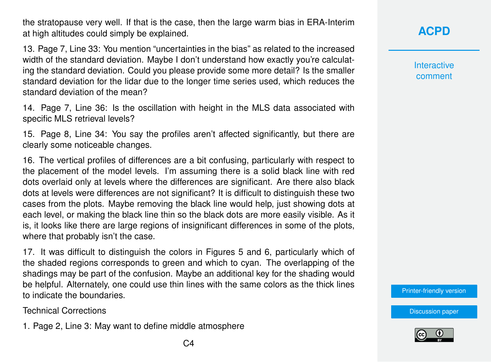the stratopause very well. If that is the case, then the large warm bias in ERA-Interim at high altitudes could simply be explained.

13. Page 7, Line 33: You mention "uncertainties in the bias" as related to the increased width of the standard deviation. Maybe I don't understand how exactly you're calculating the standard deviation. Could you please provide some more detail? Is the smaller standard deviation for the lidar due to the longer time series used, which reduces the standard deviation of the mean?

14. Page 7, Line 36: Is the oscillation with height in the MLS data associated with specific MLS retrieval levels?

15. Page 8, Line 34: You say the profiles aren't affected significantly, but there are clearly some noticeable changes.

16. The vertical profiles of differences are a bit confusing, particularly with respect to the placement of the model levels. I'm assuming there is a solid black line with red dots overlaid only at levels where the differences are significant. Are there also black dots at levels were differences are not significant? It is difficult to distinguish these two cases from the plots. Maybe removing the black line would help, just showing dots at each level, or making the black line thin so the black dots are more easily visible. As it is, it looks like there are large regions of insignificant differences in some of the plots, where that probably isn't the case.

17. It was difficult to distinguish the colors in Figures 5 and 6, particularly which of the shaded regions corresponds to green and which to cyan. The overlapping of the shadings may be part of the confusion. Maybe an additional key for the shading would be helpful. Alternately, one could use thin lines with the same colors as the thick lines to indicate the boundaries.

Technical Corrections

1. Page 2, Line 3: May want to define middle atmosphere

**Interactive** comment

[Printer-friendly version](https://acp.copernicus.org/preprints/acp-2020-959/acp-2020-959-RC2-print.pdf)